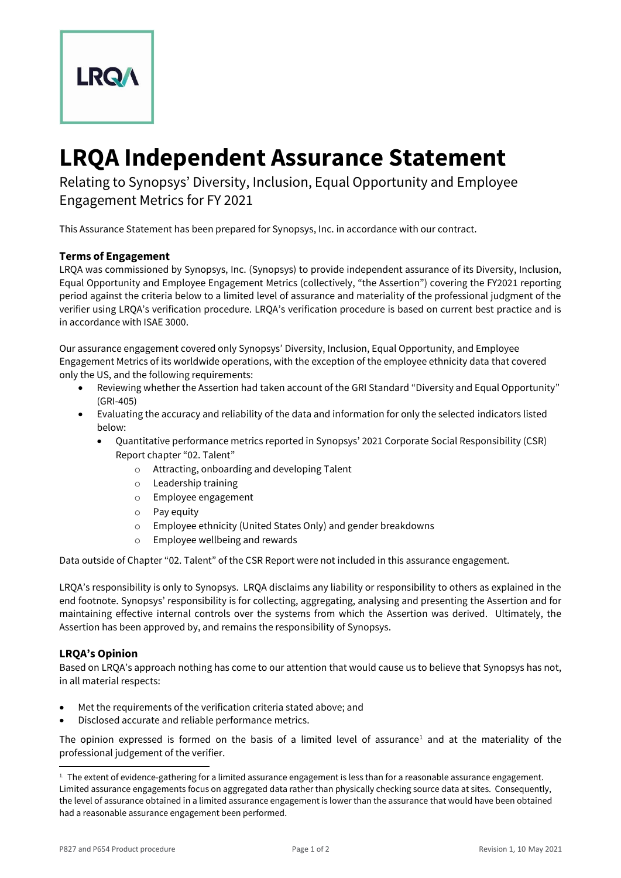

# **LRQA Independent Assurance Statement**

Relating to Synopsys' Diversity, Inclusion, Equal Opportunity and Employee Engagement Metrics for FY 2021

This Assurance Statement has been prepared for Synopsys, Inc. in accordance with our contract.

## **Terms of Engagement**

LRQA was commissioned by Synopsys, Inc. (Synopsys) to provide independent assurance of its Diversity, Inclusion, Equal Opportunity and Employee Engagement Metrics (collectively, "the Assertion") covering the FY2021 reporting period against the criteria below to a limited level of assurance and materiality of the professional judgment of the verifier using LRQA's verification procedure. LRQA's verification procedure is based on current best practice and is in accordance with ISAE 3000.

Our assurance engagement covered only Synopsys' Diversity, Inclusion, Equal Opportunity, and Employee Engagement Metrics of its worldwide operations, with the exception of the employee ethnicity data that covered only the US, and the following requirements:

- Reviewing whether the Assertion had taken account of the GRI Standard "Diversity and Equal Opportunity" (GRI-405)
- Evaluating the accuracy and reliability of the data and information for only the selected indicators listed below:
	- Quantitative performance metrics reported in Synopsys' 2021 Corporate Social Responsibility (CSR) Report chapter "02. Talent"
		- o Attracting, onboarding and developing Talent
		- o Leadership training
		- o Employee engagement
		- o Pay equity
		- o Employee ethnicity (United States Only) and gender breakdowns
		- o Employee wellbeing and rewards

Data outside of Chapter "02. Talent" of the CSR Report were not included in this assurance engagement.

LRQA's responsibility is only to Synopsys. LRQA disclaims any liability or responsibility to others as explained in the end footnote. Synopsys' responsibility is for collecting, aggregating, analysing and presenting the Assertion and for maintaining effective internal controls over the systems from which the Assertion was derived. Ultimately, the Assertion has been approved by, and remains the responsibility of Synopsys.

### **LRQA's Opinion**

Based on LRQA's approach nothing has come to our attention that would cause us to believe that Synopsys has not, in all material respects:

- Met the requirements of the verification criteria stated above; and
- Disclosed accurate and reliable performance metrics.

The opinion expressed is formed on the basis of a limited level of assurance<sup>1</sup> and at the materiality of the professional judgement of the verifier.

 $1.$  The extent of evidence-gathering for a limited assurance engagement is less than for a reasonable assurance engagement. Limited assurance engagements focus on aggregated data rather than physically checking source data at sites. Consequently, the level of assurance obtained in a limited assurance engagement is lower than the assurance that would have been obtained had a reasonable assurance engagement been performed.